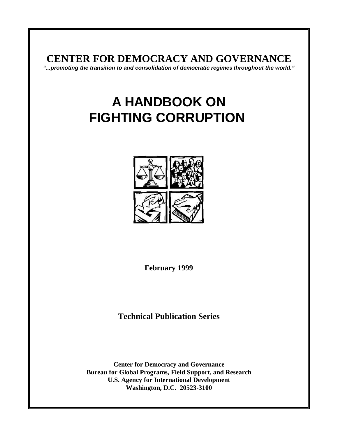# **CENTER FOR DEMOCRACY AND GOVERNANCE**

*"...promoting the transition to and consolidation of democratic regimes throughout the world."*

# **A HANDBOOK ON FIGHTING CORRUPTION**



**February 1999**

**Technical Publication Series**

**Center for Democracy and Governance Bureau for Global Programs, Field Support, and Research U.S. Agency for International Development Washington, D.C. 20523-3100**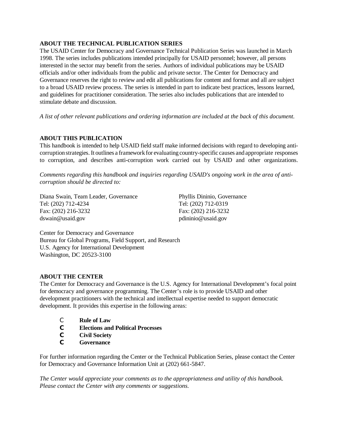#### **ABOUT THE TECHNICAL PUBLICATION SERIES**

The USAID Center for Democracy and Governance Technical Publication Series was launched in March 1998. The series includes publications intended principally for USAID personnel; however, all persons interested in the sector may benefit from the series. Authors of individual publications may be USAID officials and/or other individuals from the public and private sector. The Center for Democracy and Governance reserves the right to review and edit all publications for content and format and all are subject to a broad USAID review process. The series is intended in part to indicate best practices, lessons learned, and guidelines for practitioner consideration. The series also includes publications that are intended to stimulate debate and discussion.

*A list of other relevant publications and ordering information are included at the back of this document.*

#### **ABOUT THIS PUBLICATION**

This handbook is intended to help USAID field staff make informed decisions with regard to developing anticorruption strategies. It outlines a framework for evaluating country-specific causes and appropriate responses to corruption, and describes anti-corruption work carried out by USAID and other organizations.

*Comments regarding this handbook and inquiries regarding USAID's ongoing work in the area of anticorruption should be directed to:*

Diana Swain, Team Leader, Governance Tel: (202) 712-4234 Fax: (202) 216-3232 dswain@usaid.gov

Phyllis Dininio, Governance Tel: (202) 712-0319 Fax: (202) 216-3232 pdininio@usaid.gov

Center for Democracy and Governance Bureau for Global Programs, Field Support, and Research U.S. Agency for International Development Washington, DC 20523-3100

#### **ABOUT THE CENTER**

The Center for Democracy and Governance is the U.S. Agency for International Development's focal point for democracy and governance programming. The Center's role is to provide USAID and other development practitioners with the technical and intellectual expertise needed to support democratic development. It provides this expertise in the following areas:

- C **Rule of Law**
- **C Elections and Political Processes**
- **C Civil Society**
- **C Governance**

For further information regarding the Center or the Technical Publication Series, please contact the Center for Democracy and Governance Information Unit at (202) 661-5847.

*The Center would appreciate your comments as to the appropriateness and utility of this handbook. Please contact the Center with any comments or suggestions.*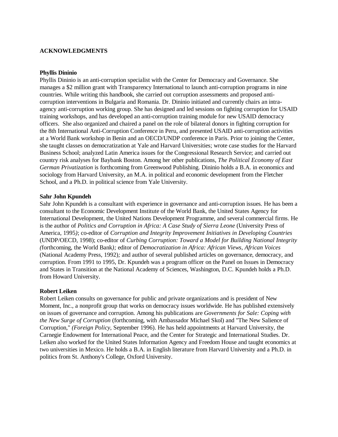#### **ACKNOWLEDGMENTS**

#### **Phyllis Dininio**

Phyllis Dininio is an anti-corruption specialist with the Center for Democracy and Governance. She manages a \$2 million grant with Transparency International to launch anti-corruption programs in nine countries. While writing this handbook, she carried out corruption assessments and proposed anticorruption interventions in Bulgaria and Romania. Dr. Dininio initiated and currently chairs an intraagency anti-corruption working group. She has designed and led sessions on fighting corruption for USAID training workshops, and has developed an anti-corruption training module for new USAID democracy officers. She also organized and chaired a panel on the role of bilateral donors in fighting corruption for the 8th International Anti-Corruption Conference in Peru, and presented USAID anti-corruption activities at a World Bank workshop in Benin and an OECD/UNDP conference in Paris. Prior to joining the Center, she taught classes on democratization at Yale and Harvard Universities; wrote case studies for the Harvard Business School; analyzed Latin America issues for the Congressional Research Service; and carried out country risk analyses for Baybank Boston. Among her other publications, *The Political Economy of East German Privatization* is forthcoming from Greenwood Publishing. Dininio holds a B.A. in economics and sociology from Harvard University, an M.A. in political and economic development from the Fletcher School, and a Ph.D. in political science from Yale University.

#### **Sahr John Kpundeh**

Sahr John Kpundeh is a consultant with experience in governance and anti-corruption issues. He has been a consultant to the Economic Development Institute of the World Bank, the United States Agency for International Development, the United Nations Development Programme, and several commercial firms. He is the author of *Politics and Corruption in Africa: A Case Study of Sierra Leone* (University Press of America, 1995*)*; co-editor of *Corruption and Integrity Improvement Initiatives in Developing Countries* (UNDP/OECD, 1998); co-editor of *Curbing Corruption: Toward a Model for Building National Integrity (*forthcoming, the World Bank*);* editor of *Democratization in Africa: African Views, African Voices* (National Academy Press, 1992)*;* and author of several published articles on governance, democracy, and corruption. From 1991 to 1995, Dr. Kpundeh was a program officer on the Panel on Issues in Democracy and States in Transition at the National Academy of Sciences, Washington, D.C. Kpundeh holds a Ph.D. from Howard University.

#### **Robert Leiken**

Robert Leiken consults on governance for public and private organizations and is president of New Moment, Inc., a nonprofit group that works on democracy issues worldwide. He has published extensively on issues of governance and corruption. Among his publications are *Governments for Sale: Coping with the New Surge of Corruption* (forthcoming, with Ambassador Michael Skol) and "The New Salience of Corruption," *(Foreign Policy*, September 1996). He has held appointments at Harvard University, the Carnegie Endowment for International Peace, and the Center for Strategic and International Studies. Dr. Leiken also worked for the United States Information Agency and Freedom House and taught economics at two universities in Mexico. He holds a B.A. in English literature from Harvard University and a Ph.D. in politics from St. Anthony's College, Oxford University.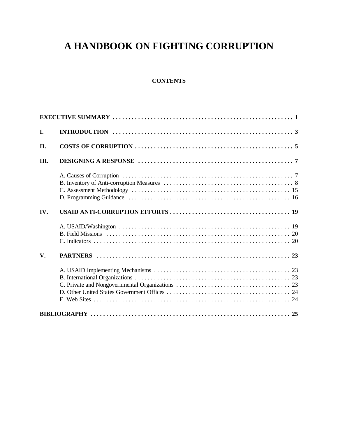# **A HANDBOOK ON FIGHTING CORRUPTION**

### **CONTENTS**

| I.             |  |
|----------------|--|
| II.            |  |
| III.           |  |
|                |  |
| IV.            |  |
|                |  |
| $\mathbf{V}$ . |  |
|                |  |
|                |  |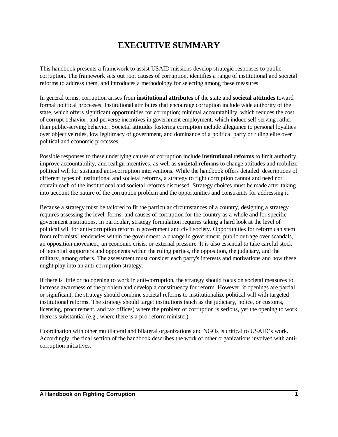## **EXECUTIVE SUMMARY**

This handbook presents a framework to assist USAID missions develop strategic responses to public corruption. The framework sets out root causes of corruption, identifies a range of institutional and societal reforms to address them, and introduces a methodology for selecting among these measures.

In general terms, corruption arises from **institutional attributes** of the state and **societal attitudes** toward formal political processes. Institutional attributes that encourage corruption include wide authority of the state, which offers significant opportunities for corruption; minimal accountability, which reduces the cost of corrupt behavior; and perverse incentives in government employment, which induce self-serving rather than public-serving behavior. Societal attitudes fostering corruption include allegiance to personal loyalties over objective rules, low legitimacy of government, and dominance of a political party or ruling elite over political and economic processes.

Possible responses to these underlying causes of corruption include **institutional reforms** to limit authority, improve accountability, and realign incentives, as well as **societal reforms** to change attitudes and mobilize political will for sustained anti-corruption interventions. While the handbook offers detailed descriptions of different types of institutional and societal reforms, a strategy to fight corruption cannot and need not contain each of the institutional and societal reforms discussed. Strategy choices must be made after taking into account the nature of the corruption problem and the opportunities and constraints for addressing it.

Because a strategy must be tailored to fit the particular circumstances of a country, designing a strategy requires assessing the level, forms, and causes of corruption for the country as a whole and for specific government institutions. In particular, strategy formulation requires taking a hard look at the level of political will for anti-corruption reform in government and civil society. Opportunities for reform can stem from reformists' tendencies within the government, a change in government, public outrage over scandals, an opposition movement, an economic crisis, or external pressure. It is also essential to take careful stock of potential supporters and opponents within the ruling parties, the opposition, the judiciary, and the military, among others. The assessment must consider each party's interests and motivations and how these might play into an anti-corruption strategy.

If there is little or no opening to work in anti-corruption, the strategy should focus on societal measures to increase awareness of the problem and develop a constituency for reform. However, if openings are partial or significant, the strategy should combine societal reforms to institutionalize political will with targeted institutional reforms. The strategy should target institutions (such as the judiciary, police, or customs, licensing, procurement, and tax offices) where the problem of corruption is serious, yet the opening to work there is substantial (e.g., where there is a pro-reform minister).

Coordination with other multilateral and bilateral organizations and NGOs is critical to USAID's work. Accordingly, the final section of the handbook describes the work of other organizations involved with anticorruption initiatives.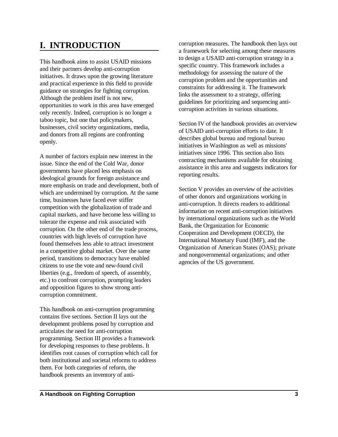### **I. INTRODUCTION**

This handbook aims to assist USAID missions and their partners develop anti-corruption initiatives. It draws upon the growing literature and practical experience in this field to provide guidance on strategies for fighting corruption. Although the problem itself is not new, opportunities to work in this area have emerged only recently. Indeed, corruption is no longer a taboo topic, but one that policymakers, businesses, civil society organizations, media, and donors from all regions are confronting openly.

A number of factors explain new interest in the issue. Since the end of the Cold War, donor governments have placed less emphasis on ideological grounds for foreign assistance and more emphasis on trade and development, both of which are undermined by corruption. At the same time, businesses have faced ever stiffer competition with the globalization of trade and capital markets, and have become less willing to tolerate the expense and risk associated with corruption. On the other end of the trade process, countries with high levels of corruption have found themselves less able to attract investment in a competitive global market. Over the same period, transitions to democracy have enabled citizens to use the vote and new-found civil liberties (e.g., freedom of speech, of assembly, etc.) to confront corruption, prompting leaders and opposition figures to show strong anticorruption commitment.

This handbook on anti-corruption programming contains five sections. Section II lays out the development problems posed by corruption and articulates the need for anti-corruption programming. Section III provides a framework for developing responses to these problems. It identifies root causes of corruption which call for both institutional and societal reforms to address them. For both categories of reform, the handbook presents an inventory of anticorruption measures. The handbook then lays out a framework for selecting among these measures to design a USAID anti-corruption strategy in a specific country. This framework includes a methodology for assessing the nature of the corruption problem and the opportunities and constraints for addressing it. The framework links the assessment to a strategy, offering guidelines for prioritizing and sequencing anticorruption activities in various situations.

Section IV of the handbook provides an overview of USAID anti-corruption efforts to date. It describes global bureau and regional bureau initiatives in Washington as well as missions' initiatives since 1996. This section also lists contracting mechanisms available for obtaining assistance in this area and suggests indicators for reporting results.

Section V provides an overview of the activities of other donors and organizations working in anti-corruption. It directs readers to additional information on recent anti-corruption initiatives by international organizations such as the World Bank, the Organization for Economic Cooperation and Development (OECD), the International Monetary Fund (IMF), and the Organization of American States (OAS); private and nongovernmental organizations; and other agencies of the US government.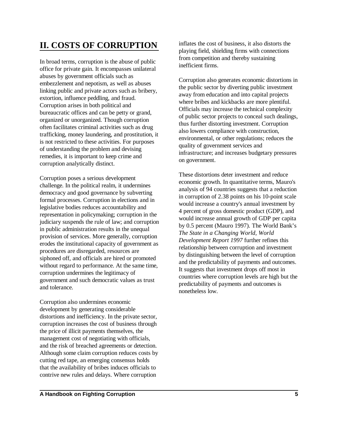## **II. COSTS OF CORRUPTION**

In broad terms, corruption is the abuse of public office for private gain. It encompasses unilateral abuses by government officials such as embezzlement and nepotism, as well as abuses linking public and private actors such as bribery, extortion, influence peddling, and fraud. Corruption arises in both political and bureaucratic offices and can be petty or grand, organized or unorganized. Though corruption often facilitates criminal activities such as drug trafficking, money laundering, and prostitution, it is not restricted to these activities. For purposes of understanding the problem and devising remedies, it is important to keep crime and corruption analytically distinct.

Corruption poses a serious development challenge. In the political realm, it undermines democracy and good governance by subverting formal processes. Corruption in elections and in legislative bodies reduces accountability and representation in policymaking; corruption in the judiciary suspends the rule of law; and corruption in public administration results in the unequal provision of services. More generally, corruption erodes the institutional capacity of government as procedures are disregarded, resources are siphoned off, and officials are hired or promoted without regard to performance. At the same time, corruption undermines the legitimacy of government and such democratic values as trust and tolerance.

Corruption also undermines economic development by generating considerable distortions and inefficiency. In the private sector, corruption increases the cost of business through the price of illicit payments themselves, the management cost of negotiating with officials, and the risk of breached agreements or detection. Although some claim corruption reduces costs by cutting red tape, an emerging consensus holds that the availability of bribes induces officials to contrive new rules and delays. Where corruption

inflates the cost of business, it also distorts the playing field, shielding firms with connections from competition and thereby sustaining inefficient firms.

Corruption also generates economic distortions in the public sector by diverting public investment away from education and into capital projects where bribes and kickbacks are more plentiful. Officials may increase the technical complexity of public sector projects to conceal such dealings, thus further distorting investment. Corruption also lowers compliance with construction, environmental, or other regulations; reduces the quality of government services and infrastructure; and increases budgetary pressures on government.

These distortions deter investment and reduce economic growth. In quantitative terms, Mauro's analysis of 94 countries suggests that a reduction in corruption of 2.38 points on his 10-point scale would increase a country's annual investment by 4 percent of gross domestic product (GDP), and would increase annual growth of GDP per capita by 0.5 percent (Mauro 1997). The World Bank's *The State in a Changing World, World Development Report 1997* further refines this relationship between corruption and investment by distinguishing between the level of corruption and the predictability of payments and outcomes. It suggests that investment drops off most in countries where corruption levels are high but the predictability of payments and outcomes is nonetheless low.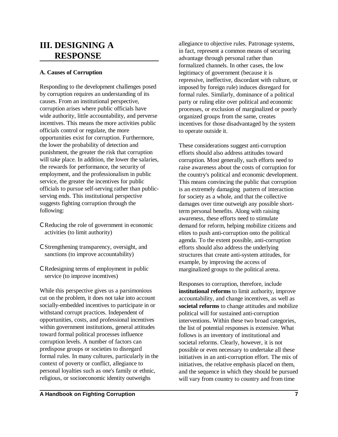### **III. DESIGNING A RESPONSE**

#### **A. Causes of Corruption**

Responding to the development challenges posed by corruption requires an understanding of its causes. From an institutional perspective, corruption arises where public officials have wide authority, little accountability, and perverse incentives. This means the more activities public officials control or regulate, the more opportunities exist for corruption. Furthermore, the lower the probability of detection and punishment, the greater the risk that corruption will take place. In addition, the lower the salaries, the rewards for performance, the security of employment, and the professionalism in public service, the greater the incentives for public officials to pursue self-serving rather than publicserving ends. This institutional perspective suggests fighting corruption through the following:

- CReducing the role of government in economic activities (to limit authority)
- CStrengthening transparency, oversight, and sanctions (to improve accountability)
- CRedesigning terms of employment in public service (to improve incentives)

While this perspective gives us a parsimonious cut on the problem, it does not take into account socially-embedded incentives to participate in or withstand corrupt practices. Independent of opportunities, costs, and professional incentives within government institutions, general attitudes toward formal political processes influence corruption levels. A number of factors can predispose groups or societies to disregard formal rules. In many cultures, particularly in the context of poverty or conflict, allegiance to personal loyalties such as one's family or ethnic, religious, or socioeconomic identity outweighs

allegiance to objective rules. Patronage systems, in fact, represent a common means of securing advantage through personal rather than formalized channels. In other cases, the low legitimacy of government (because it is repressive, ineffective, discordant with culture, or imposed by foreign rule) induces disregard for formal rules. Similarly, dominance of a political party or ruling elite over political and economic processes, or exclusion of marginalized or poorly organized groups from the same, creates incentives for those disadvantaged by the system to operate outside it.

These considerations suggest anti-corruption efforts should also address attitudes toward corruption. Most generally, such efforts need to raise awareness about the costs of corruption for the country's political and economic development. This means convincing the public that corruption is an extremely damaging pattern of interaction for society as a whole, and that the collective damages over time outweigh any possible shortterm personal benefits. Along with raising awareness, these efforts need to stimulate demand for reform, helping mobilize citizens and elites to push anti-corruption onto the political agenda. To the extent possible, anti-corruption efforts should also address the underlying structures that create anti-system attitudes, for example, by improving the access of marginalized groups to the political arena.

Responses to corruption, therefore, include **institutional reforms** to limit authority, improve accountability, and change incentives, as well as **societal reforms** to change attitudes and mobilize political will for sustained anti-corruption interventions. Within these two broad categories, the list of potential responses is extensive. What follows is an inventory of institutional and societal reforms. Clearly, however, it is not possible or even necessary to undertake all these initiatives in an anti-corruption effort. The mix of initiatives, the relative emphasis placed on them, and the sequence in which they should be pursued will vary from country to country and from time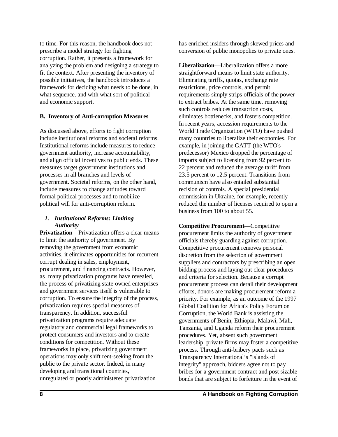to time. For this reason, the handbook does not prescribe a model strategy for fighting corruption. Rather, it presents a framework for analyzing the problem and designing a strategy to fit the context. After presenting the inventory of possible initiatives, the handbook introduces a framework for deciding what needs to be done, in what sequence, and with what sort of political and economic support.

#### **B. Inventory of Anti-corruption Measures**

As discussed above, efforts to fight corruption include institutional reforms and societal reforms. Institutional reforms include measures to reduce government authority, increase accountability, and align official incentives to public ends. These measures target government institutions and processes in all branches and levels of government. Societal reforms, on the other hand, include measures to change attitudes toward formal political processes and to mobilize political will for anti-corruption reform.

#### *1. Institutional Reforms: Limiting Authority*

**Privatization**— Privatization offers a clear means to limit the authority of government. By removing the government from economic activities, it eliminates opportunities for recurrent corrupt dealing in sales, employment, procurement, and financing contracts. However, as many privatization programs have revealed, the process of privatizing state-owned enterprises and government services itself is vulnerable to corruption. To ensure the integrity of the process, privatization requires special measures of transparency. In addition, successful privatization programs require adequate regulatory and commercial legal frameworks to protect consumers and investors and to create conditions for competition. Without these frameworks in place, privatizing government operations may only shift rent-seeking from the public to the private sector. Indeed, in many developing and transitional countries, unregulated or poorly administered privatization

has enriched insiders through skewed prices and conversion of public monopolies to private ones.

**Liberalization**— Liberalization offers a more straightforward means to limit state authority. Eliminating tariffs, quotas, exchange rate restrictions, price controls, and permit requirements simply strips officials of the power to extract bribes. At the same time, removing such controls reduces transaction costs, eliminates bottlenecks, and fosters competition. In recent years, accession requirements to the World Trade Organization (WTO) have pushed many countries to liberalize their economies. For example, in joining the GATT (the WTO's predecessor) Mexico dropped the percentage of imports subject to licensing from 92 percent to 22 percent and reduced the average tariff from 23.5 percent to 12.5 percent. Transitions from communism have also entailed substantial recision of controls. A special presidential commission in Ukraine, for example, recently reduced the number of licenses required to open a business from 100 to about 55.

**Competitive Procurement— Competitive** procurement limits the authority of government officials thereby guarding against corruption. Competitive procurement removes personal discretion from the selection of government suppliers and contractors by prescribing an open bidding process and laying out clear procedures and criteria for selection. Because a corrupt procurement process can derail their development efforts, donors are making procurement reform a priority. For example, as an outcome of the 1997 Global Coalition for Africa's Policy Forum on Corruption, the World Bank is assisting the governments of Benin, Ethiopia, Malawi, Mali, Tanzania, and Uganda reform their procurement procedures. Yet, absent such government leadership, private firms may foster a competitive process. Through anti-bribery pacts such as Transparency International's "islands of integrity" approach, bidders agree not to pay bribes for a government contract and post sizable bonds that are subject to forfeiture in the event of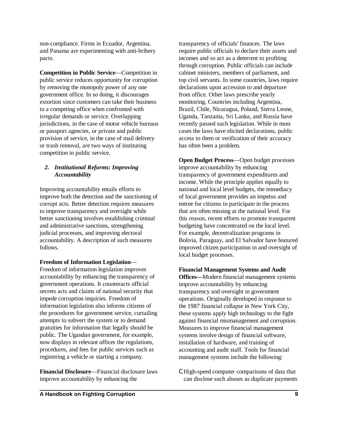non-compliance. Firms in Ecuador, Argentina, and Panama are experimenting with anti-bribery pacts.

**Competition in Public Service**— Competition in public service reduces opportunity for corruption by removing the monopoly power of any one government office. In so doing, it discourages extortion since customers can take their business to a competing office when confronted with irregular demands or service. Overlapping jurisdictions, in the case of motor vehicle bureaus or passport agencies, or private and public provision of service, in the case of mail delivery or trash removal, are two ways of instituting competition in public service.

#### *2. Institutional Reforms: Improving Accountability*

Improving accountability entails efforts to improve both the detection and the sanctioning of corrupt acts. Better detection requires measures to improve transparency and oversight while better sanctioning involves establishing criminal and administrative sanctions, strengthening judicial processes, and improving electoral accountability. A description of such measures follows.

#### **Freedom of Information Legislation**—

Freedom of information legislation improves accountability by enhancing the transparency of government operations. It counteracts official secrets acts and claims of national security that impede corruption inquiries. Freedom of information legislation also informs citizens of the procedures for government service, curtailing attempts to subvert the system or to demand gratuities for information that legally should be public. The Ugandan government, for example, now displays in relevant offices the regulations, procedures, and fees for public services such as registering a vehicle or starting a company.

**Financial Disclosure**— Financial disclosure laws improve accountability by enhancing the

transparency of officials' finances. The laws require public officials to declare their assets and incomes and so act as a deterrent to profiting through corruption. Public officials can include cabinet ministers, members of parliament, and top civil servants. In some countries, laws require declarations upon accession to and departure from office. Other laws prescribe yearly monitoring. Countries including Argentina, Brazil, Chile, Nicaragua, Poland, Sierra Leone, Uganda, Tanzania, Sri Lanka, and Russia have recently passed such legislation. While in most cases the laws have elicited declarations, public access to them or verification of their accuracy has often been a problem.

**Open Budget Process**— Open budget processes improve accountability by enhancing transparency of government expenditures and income. While the principle applies equally to national and local level budgets, the immediacy of local government provides an impetus and entree for citizens to participate in the process that are often missing at the national level. For this reason, recent efforts to promote transparent budgeting have concentrated on the local level. For example, decentralization programs in Bolivia, Paraguay, and El Salvador have featured improved citizen participation in and oversight of local budget processes.

**Financial Management Systems and Audit Offices—** Modern financial management systems improve accountability by enhancing transparency and oversight in government operations. Originally developed in response to the 1987 financial collapse in New York City, these systems apply high technology to the fight against financial mismanagement and corruption. Measures to improve financial management systems involve design of financial software, installation of hardware, and training of accounting and audit staff. Tools for financial management systems include the following:

CHigh-speed computer comparisons of data that can disclose such abuses as duplicate payments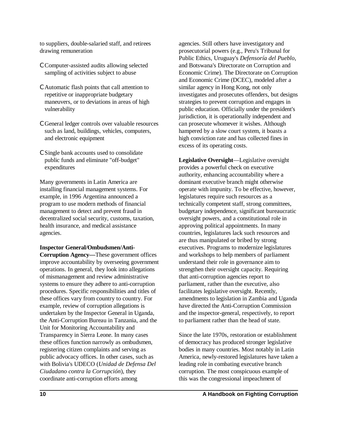to suppliers, double-salaried staff, and retirees drawing remuneration

- CComputer-assisted audits allowing selected sampling of activities subject to abuse
- CAutomatic flash points that call attention to repetitive or inappropriate budgetary maneuvers, or to deviations in areas of high vulnerability
- CGeneral ledger controls over valuable resources such as land, buildings, vehicles, computers, and electronic equipment
- CSingle bank accounts used to consolidate public funds and eliminate "off-budget" expenditures

Many governments in Latin America are installing financial management systems. For example, in 1996 Argentina announced a program to use modern methods of financial management to detect and prevent fraud in decentralized social security, customs, taxation, health insurance, and medical assistance agencies.

#### **Inspector General/Ombudsmen/Anti-**

**Corruption Agency—These government offices** improve accountability by overseeing government operations. In general, they look into allegations of mismanagement and review administrative systems to ensure they adhere to anti-corruption procedures. Specific responsibilities and titles of these offices vary from country to country. For example, review of corruption allegations is undertaken by the Inspector General in Uganda, the Anti-Corruption Bureau in Tanzania, and the Unit for Monitoring Accountability and Transparency in Sierra Leone. In many cases these offices function narrowly as ombudsmen, registering citizen complaints and serving as public advocacy offices. In other cases, such as with Bolivia's UDECO (*Unidad de Defensa Del Ciudadano contra la Corrupción*), they coordinate anti-corruption efforts among

agencies. Still others have investigatory and prosecutorial powers (e.g., Peru's Tribunal for Public Ethics, Uruguay's *Defensoría del Pueblo*, and Botswana's Directorate on Corruption and Economic Crime). The Directorate on Corruption and Economic Crime (DCEC), modeled after a similar agency in Hong Kong, not only investigates and prosecutes offenders, but designs strategies to prevent corruption and engages in public education. Officially under the president's jurisdiction, it is operationally independent and can prosecute whomever it wishes. Although hampered by a slow court system, it boasts a high conviction rate and has collected fines in excess of its operating costs.

**Legislative Oversight**— Legislative oversight provides a powerful check on executive authority, enhancing accountability where a dominant executive branch might otherwise operate with impunity. To be effective, however, legislatures require such resources as a technically competent staff, strong committees, budgetary independence, significant bureaucratic oversight powers, and a constitutional role in approving political appointments. In many countries, legislatures lack such resources and are thus manipulated or bribed by strong executives. Programs to modernize legislatures and workshops to help members of parliament understand their role in governance aim to strengthen their oversight capacity. Requiring that anti-corruption agencies report to parliament, rather than the executive, also facilitates legislative oversight. Recently, amendments to legislation in Zambia and Uganda have directed the Anti-Corruption Commission and the inspector-general, respectively, to report to parliament rather than the head of state.

Since the late 1970s, restoration or establishment of democracy has produced stronger legislative bodies in many countries. Most notably in Latin America, newly-restored legislatures have taken a leading role in combating executive branch corruption. The most conspicuous example of this was the congressional impeachment of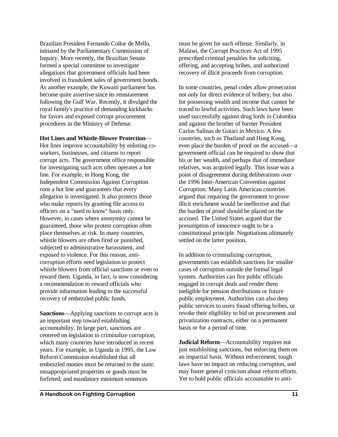Brazilian President Fernando Collor de Mello, initiated by the Parliamentary Commission of Inquiry. More recently, the Brazilian Senate formed a special committee to investigate allegations that government officials had been involved in fraudulent sales of government bonds. As another example, the Kuwaiti parliament has become quite assertive since its reinstatement following the Gulf War. Recently, it divulged the royal family's practice of demanding kickbacks for favors and exposed corrupt procurement procedures in the Ministry of Defense.

#### **Hot Lines and Whistle-Blower Protection**—

Hot lines improve accountability by enlisting coworkers, businesses, and citizens to report corrupt acts. The government office responsible for investigating such acts often operates a hot line. For example, in Hong Kong, the Independent Commission Against Corruption runs a hot line and guarantees that every allegation is investigated. It also protects those who make reports by granting file access to officers on a "need to know" basis only. However, in cases where anonymity cannot be guaranteed, those who protest corruption often place themselves at risk. In many countries, whistle blowers are often fired or punished, subjected to administrative harassment, and exposed to violence. For this reason, anticorruption efforts need legislation to protect whistle blowers from official sanctions or even to reward them. Uganda, in fact, is now considering a recommendation to reward officials who provide information leading to the successful recovery of embezzled public funds.

**Sanctions**— Applying sanctions to corrupt acts is an important step toward establishing accountability. In large part, sanctions are centered on legislation to criminalize corruption, which many countries have introduced in recent years. For example, in Uganda in 1995, the Law Reform Commission established that all embezzled monies must be returned to the state; misappropriated properties or goods must be forfeited; and mandatory minimum sentences

must be given for each offense. Similarly, in Malawi, the Corrupt Practices Act of 1995 prescribed criminal penalties for soliciting, offering, and accepting bribes, and authorized recovery of illicit proceeds from corruption.

In some countries, penal codes allow prosecution not only for direct evidence of bribery, but also for possessing wealth and income that cannot be traced to lawful activities. Such laws have been used successfully against drug lords in Colombia and against the brother of former President Carlos Salinas de Gotari in Mexico. A few countries, such as Thailand and Hong Kong, even place the burden of proof on the accused—a government official can be required to show that his or her wealth, and perhaps that of immediate relatives, was acquired legally. This issue was a point of disagreement during deliberations over the 1996 Inter-American Convention against Corruption. Many Latin American countries argued that requiring the government to prove illicit enrichment would be ineffective and that the burden of proof should be placed on the accused. The United States argued that the presumption of innocence ought to be a constitutional principle. Negotiations ultimately settled on the latter position.

In addition to criminalizing corruption, governments can establish sanctions for smaller cases of corruption outside the formal legal system. Authorities can fire public officials engaged in corrupt deals and render them ineligible for pension distributions or future public employment. Authorities can also deny public services to users found offering bribes, or revoke their eligibility to bid on procurement and privatization contracts, either on a permanent basis or for a period of time.

**Judicial Reform**— Accountability requires not just establishing sanctions, but enforcing them on an impartial basis. Without enforcement, tough laws have no impact on reducing corruption, and may foster general cynicism about reform efforts. Yet to hold public officials accountable to anti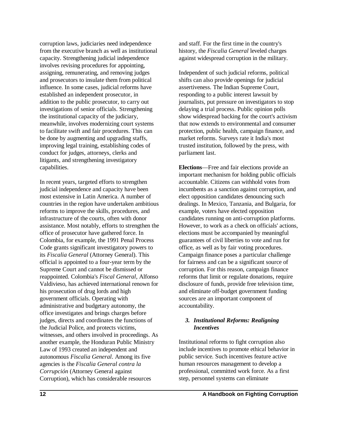corruption laws, judiciaries need independence from the executive branch as well as institutional capacity. Strengthening judicial independence involves revising procedures for appointing, assigning, remunerating, and removing judges and prosecutors to insulate them from political influence. In some cases, judicial reforms have established an independent prosecutor, in addition to the public prosecutor, to carry out investigations of senior officials. Strengthening the institutional capacity of the judiciary, meanwhile, involves modernizing court systems to facilitate swift and fair procedures. This can be done by augmenting and upgrading staffs, improving legal training, establishing codes of conduct for judges, attorneys, clerks and litigants, and strengthening investigatory capabilities.

In recent years, targeted efforts to strengthen judicial independence and capacity have been most extensive in Latin America. A number of countries in the region have undertaken ambitious reforms to improve the skills, procedures, and infrastructure of the courts, often with donor assistance. Most notably, efforts to strengthen the office of prosecutor have gathered force. In Colombia, for example, the 1991 Penal Process Code grants significant investigatory powers to its *Fiscalia General* (Attorney General). This official is appointed to a four-year term by the Supreme Court and cannot be dismissed or reappointed. Colombia's *Fiscal General*, Alfonso Valdivieso, has achieved international renown for his prosecution of drug lords and high government officials. Operating with administrative and budgetary autonomy, the office investigates and brings charges before judges, directs and coordinates the functions of the Judicial Police, and protects victims, witnesses, and others involved in proceedings. As another example, the Honduran Public Ministry Law of 1993 created an independent and autonomous *Fiscalia General*. Among its five agencies is the *Fiscalia General contra la Corrupción* (Attorney General against Corruption), which has considerable resources

and staff. For the first time in the country's history, the *Fiscalia General* leveled charges against widespread corruption in the military.

Independent of such judicial reforms, political shifts can also provide openings for judicial assertiveness. The Indian Supreme Court, responding to a public interest lawsuit by journalists, put pressure on investigators to stop delaying a trial process. Public opinion polls show widespread backing for the court's activism that now extends to environmental and consumer protection, public health, campaign finance, and market reforms. Surveys rate it India's most trusted institution, followed by the press, with parliament last.

**Elections**— Free and fair elections provide an important mechanism for holding public officials accountable. Citizens can withhold votes from incumbents as a sanction against corruption, and elect opposition candidates denouncing such dealings. In Mexico, Tanzania, and Bulgaria, for example, voters have elected opposition candidates running on anti-corruption platforms. However, to work as a check on officials' actions, elections must be accompanied by meaningful guarantees of civil liberties to vote and run for office, as well as by fair voting procedures. Campaign finance poses a particular challenge for fairness and can be a significant source of corruption. For this reason, campaign finance reforms that limit or regulate donations, require disclosure of funds, provide free television time, and eliminate off-budget government funding sources are an important component of accountability.

#### *3. Institutional Reforms: Realigning Incentives*

Institutional reforms to fight corruption also include incentives to promote ethical behavior in public service. Such incentives feature active human resources management to develop a professional, committed work force. As a first step, personnel systems can eliminate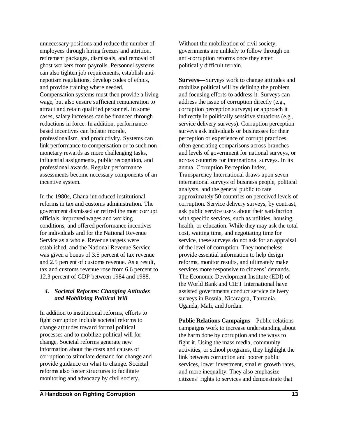unnecessary positions and reduce the number of employees through hiring freezes and attrition, retirement packages, dismissals, and removal of ghost workers from payrolls. Personnel systems can also tighten job requirements, establish antinepotism regulations, develop codes of ethics, and provide training where needed. Compensation systems must then provide a living wage, but also ensure sufficient remuneration to attract and retain qualified personnel. In some cases, salary increases can be financed through reductions in force. In addition, performancebased incentives can bolster morale, professionalism, and productivity. Systems can link performance to compensation or to such nonmonetary rewards as more challenging tasks, influential assignments, public recognition, and professional awards. Regular performance assessments become necessary components of an incentive system.

In the 1980s, Ghana introduced institutional reforms in tax and customs administration. The government dismissed or retired the most corrupt officials, improved wages and working conditions, and offered performance incentives for individuals and for the National Revenue Service as a whole. Revenue targets were established, and the National Revenue Service was given a bonus of 3.5 percent of tax revenue and 2.5 percent of customs revenue. As a result, tax and customs revenue rose from 6.6 percent to 12.3 percent of GDP between 1984 and 1988.

#### *4. Societal Reforms: Changing Attitudes and Mobilizing Political Will*

In addition to institutional reforms, efforts to fight corruption include societal reforms to change attitudes toward formal political processes and to mobilize political will for change. Societal reforms generate new information about the costs and causes of corruption to stimulate demand for change and provide guidance on what to change. Societal reforms also foster structures to facilitate monitoring and advocacy by civil society.

Without the mobilization of civil society, governments are unlikely to follow through on anti-corruption reforms once they enter politically difficult terrain.

**Surveys**—Surveys work to change attitudes and mobilize political will by defining the problem and focusing efforts to address it. Surveys can address the issue of corruption directly (e.g., corruption perception surveys) or approach it indirectly in politically sensitive situations (e.g., service delivery surveys). Corruption perception surveys ask individuals or businesses for their perception or experience of corrupt practices, often generating comparisons across branches and levels of government for national surveys, or across countries for international surveys. In its annual Corruption Perception Index, Transparency International draws upon seven international surveys of business people, political analysts, and the general public to rate approximately 50 countries on perceived levels of corruption. Service delivery surveys, by contrast, ask public service users about their satisfaction with specific services, such as utilities, housing, health, or education. While they may ask the total cost, waiting time, and negotiating time for service, these surveys do not ask for an appraisal of the level of corruption. They nonetheless provide essential information to help design reforms, monitor results, and ultimately make services more responsive to citizens' demands. The Economic Development Institute (EDI) of the World Bank and CIET International have assisted governments conduct service delivery surveys in Bosnia, Nicaragua, Tanzania, Uganda, Mali, and Jordan.

**Public Relations Campaigns—** Public relations campaigns work to increase understanding about the harm done by corruption and the ways to fight it. Using the mass media, community activities, or school programs, they highlight the link between corruption and poorer public services, lower investment, smaller growth rates, and more inequality. They also emphasize citizens' rights to services and demonstrate that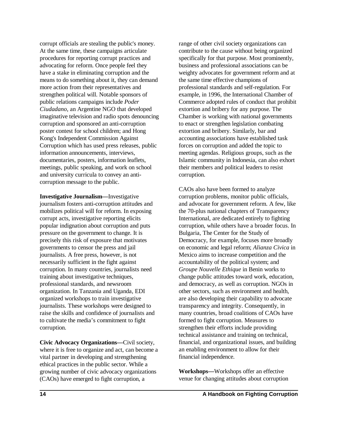corrupt officials are stealing the public's money. At the same time, these campaigns articulate procedures for reporting corrupt practices and advocating for reform. Once people feel they have a stake in eliminating corruption and the means to do something about it, they can demand more action from their representatives and strengthen political will. Notable sponsors of public relations campaigns include *Poder Ciudadano*, an Argentine NGO that developed imaginative television and radio spots denouncing corruption and sponsored an anti-corruption poster contest for school children; and Hong Kong's Independent Commission Against Corruption which has used press releases, public information announcements, interviews, documentaries, posters, information leaflets, meetings, public speaking, and work on school and university curricula to convey an anticorruption message to the public.

**Investigative Journalism—** Investigative journalism fosters anti-corruption attitudes and mobilizes political will for reform. In exposing corrupt acts, investigative reporting elicits popular indignation about corruption and puts pressure on the government to change. It is precisely this risk of exposure that motivates governments to censor the press and jail journalists. A free press, however, is not necessarily sufficient in the fight against corruption. In many countries, journalists need training about investigative techniques, professional standards, and newsroom organization. In Tanzania and Uganda, EDI organized workshops to train investigative journalists. These workshops were designed to raise the skills and confidence of journalists and to cultivate the media's commitment to fight corruption.

**Civic Advocacy Organizations—Civil society,** where it is free to organize and act, can become a vital partner in developing and strengthening ethical practices in the public sector. While a growing number of civic advocacy organizations (CAOs) have emerged to fight corruption, a

range of other civil society organizations can contribute to the cause without being organized specifically for that purpose. Most prominently, business and professional associations can be weighty advocates for government reform and at the same time effective champions of professional standards and self-regulation. For example, in 1996, the International Chamber of Commerce adopted rules of conduct that prohibit extortion and bribery for any purpose. The Chamber is working with national governments to enact or strengthen legislation combating extortion and bribery. Similarly, bar and accounting associations have established task forces on corruption and added the topic to meeting agendas. Religious groups, such as the Islamic community in Indonesia, can also exhort their members and political leaders to resist corruption.

CAOs also have been formed to analyze corruption problems, monitor public officials, and advocate for government reform. A few, like the 70-plus national chapters of Transparency International, are dedicated entirely to fighting corruption, while others have a broader focus. In Bulgaria, The Center for the Study of Democracy, for example, focuses more broadly on economic and legal reform; *Alianza Civica* in Mexico aims to increase competition and the accountability of the political system; and *Groupe Nouvelle Ethique* in Benin works to change public attitudes toward work, education, and democracy, as well as corruption. NGOs in other sectors, such as environment and health, are also developing their capability to advocate transparency and integrity. Consequently, in many countries, broad coalitions of CAOs have formed to fight corruption. Measures to strengthen their efforts include providing technical assistance and training on technical, financial, and organizational issues, and building an enabling environment to allow for their financial independence.

**Workshops—** Workshops offer an effective venue for changing attitudes about corruption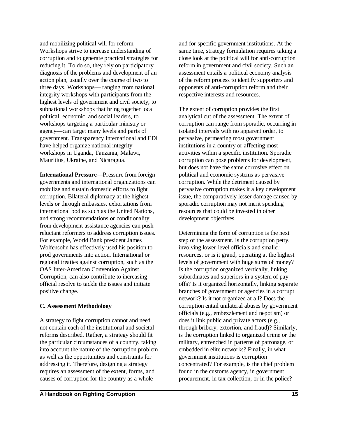and mobilizing political will for reform. Workshops strive to increase understanding of corruption and to generate practical strategies for reducing it. To do so, they rely on participatory diagnosis of the problems and development of an action plan, usually over the course of two to three days. Workshops— ranging from national integrity workshops with participants from the highest levels of government and civil society, to subnational workshops that bring together local political, economic, and social leaders, to workshops targeting a particular ministry or agency— can target many levels and parts of government. Transparency International and EDI have helped organize national integrity workshops in Uganda, Tanzania, Malawi, Mauritius, Ukraine, and Nicaragua.

**International Pressure—** Pressure from foreign governments and international organizations can mobilize and sustain domestic efforts to fight corruption. Bilateral diplomacy at the highest levels or through embassies, exhortations from international bodies such as the United Nations, and strong recommendations or conditionality from development assistance agencies can push reluctant reformers to address corruption issues. For example, World Bank president James Wolfensohn has effectively used his position to prod governments into action. International or regional treaties against corruption, such as the OAS Inter-American Convention Against Corruption, can also contribute to increasing official resolve to tackle the issues and initiate positive change.

#### **C. Assessment Methodology**

A strategy to fight corruption cannot and need not contain each of the institutional and societal reforms described. Rather, a strategy should fit the particular circumstances of a country, taking into account the nature of the corruption problem as well as the opportunities and constraints for addressing it. Therefore, designing a strategy requires an assessment of the extent, forms, and causes of corruption for the country as a whole

and for specific government institutions. At the same time, strategy formulation requires taking a close look at the political will for anti-corruption reform in government and civil society. Such an assessment entails a political economy analysis of the reform process to identify supporters and opponents of anti-corruption reform and their respective interests and resources.

The extent of corruption provides the first analytical cut of the assessment. The extent of corruption can range from sporadic, occurring in isolated intervals with no apparent order, to pervasive, permeating most government institutions in a country or affecting most activities within a specific institution. Sporadic corruption can pose problems for development, but does not have the same corrosive effect on political and economic systems as pervasive corruption. While the detriment caused by pervasive corruption makes it a key development issue, the comparatively lesser damage caused by sporadic corruption may not merit spending resources that could be invested in other development objectives.

Determining the form of corruption is the next step of the assessment. Is the corruption petty, involving lower-level officials and smaller resources, or is it grand, operating at the highest levels of government with huge sums of money? Is the corruption organized vertically, linking subordinates and superiors in a system of payoffs? Is it organized horizontally, linking separate branches of government or agencies in a corrupt network? Is it not organized at all? Does the corruption entail unilateral abuses by government officials (e.g., embezzlement and nepotism) or does it link public and private actors (e.g., through bribery, extortion, and fraud)? Similarly, is the corruption linked to organized crime or the military, entrenched in patterns of patronage, or embedded in elite networks? Finally, in what government institutions is corruption concentrated? For example, is the chief problem found in the customs agency, in government procurement, in tax collection, or in the police?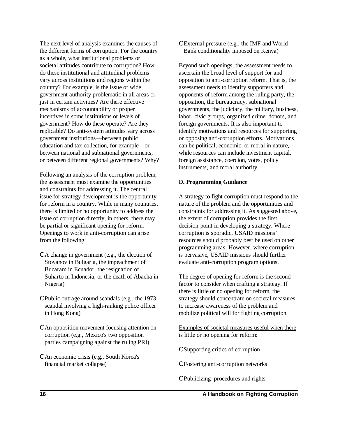The next level of analysis examines the causes of the different forms of corruption. For the country as a whole, what institutional problems or societal attitudes contribute to corruption? How do these institutional and attitudinal problems vary across institutions and regions within the country? For example, is the issue of wide government authority problematic in all areas or just in certain activities? Are there effective mechanisms of accountability or proper incentives in some institutions or levels of government? How do these operate? Are they replicable? Do anti-system attitudes vary across government institutions— between public education and tax collection, for example— or between national and subnational governments, or between different regional governments? Why?

Following an analysis of the corruption problem, the assessment must examine the opportunities and constraints for addressing it. The central issue for strategy development is the opportunity for reform in a country. While in many countries, there is limited or no opportunity to address the issue of corruption directly, in others, there may be partial or significant opening for reform. Openings to work in anti-corruption can arise from the following:

- CA change in government (e.g., the election of Stoyanov in Bulgaria, the impeachment of Bucaram in Ecuador, the resignation of Suharto in Indonesia, or the death of Abacha in Nigeria)
- CPublic outrage around scandals (e.g., the 1973 scandal involving a high-ranking police officer in Hong Kong)
- CAn opposition movement focusing attention on corruption (e.g., Mexico's two opposition parties campaigning against the ruling PRI)
- CAn economic crisis (e.g., South Korea's financial market collapse)

CExternal pressure (e.g., the IMF and World Bank conditionality imposed on Kenya)

Beyond such openings, the assessment needs to ascertain the broad level of support for and opposition to anti-corruption reform. That is, the assessment needs to identify supporters and opponents of reform among the ruling party, the opposition, the bureaucracy, subnational governments, the judiciary, the military, business, labor, civic groups, organized crime, donors, and foreign governments. It is also important to identify motivations and resources for supporting or opposing anti-corruption efforts. Motivations can be political, economic, or moral in nature, while resources can include investment capital, foreign assistance, coercion, votes, policy instruments, and moral authority.

#### **D. Programming Guidance**

A strategy to fight corruption must respond to the nature of the problem and the opportunities and constraints for addressing it. As suggested above, the extent of corruption provides the first decision-point in developing a strategy. Where corruption is sporadic, USAID missions' resources should probably best be used on other programming areas. However, where corruption is pervasive, USAID missions should further evaluate anti-corruption program options.

The degree of opening for reform is the second factor to consider when crafting a strategy. If there is little or no opening for reform, the strategy should concentrate on societal measures to increase awareness of the problem and mobilize political will for fighting corruption.

Examples of societal measures useful when there is little or no opening for reform:

CSupporting critics of corruption

CFostering anti-corruption networks

CPublicizing procedures and rights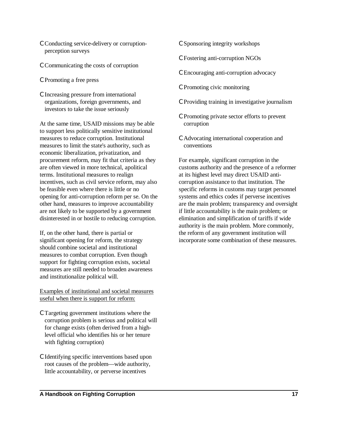- CConducting service-delivery or corruptionperception surveys
- CCommunicating the costs of corruption
- CPromoting a free press
- CIncreasing pressure from international organizations, foreign governments, and investors to take the issue seriously

At the same time, USAID missions may be able to support less politically sensitive institutional measures to reduce corruption. Institutional measures to limit the state's authority, such as economic liberalization, privatization, and procurement reform, may fit that criteria as they are often viewed in more technical, apolitical terms. Institutional measures to realign incentives, such as civil service reform, may also be feasible even where there is little or no opening for anti-corruption reform per se. On the other hand, measures to improve accountability are not likely to be supported by a government disinterested in or hostile to reducing corruption.

If, on the other hand, there is partial or significant opening for reform, the strategy should combine societal and institutional measures to combat corruption. Even though support for fighting corruption exists, societal measures are still needed to broaden awareness and institutionalize political will.

Examples of institutional and societal measures useful when there is support for reform:

- CTargeting government institutions where the corruption problem is serious and political will for change exists (often derived from a highlevel official who identifies his or her tenure with fighting corruption)
- CIdentifying specific interventions based upon root causes of the problem— wide authority, little accountability, or perverse incentives

CSponsoring integrity workshops

CFostering anti-corruption NGOs

- CEncouraging anti-corruption advocacy
- CPromoting civic monitoring
- CProviding training in investigative journalism
- CPromoting private sector efforts to prevent corruption
- CAdvocating international cooperation and conventions

For example, significant corruption in the customs authority and the presence of a reformer at its highest level may direct USAID anticorruption assistance to that institution. The specific reforms in customs may target personnel systems and ethics codes if perverse incentives are the main problem; transparency and oversight if little accountability is the main problem; or elimination and simplification of tariffs if wide authority is the main problem. More commonly, the reform of any government institution will incorporate some combination of these measures.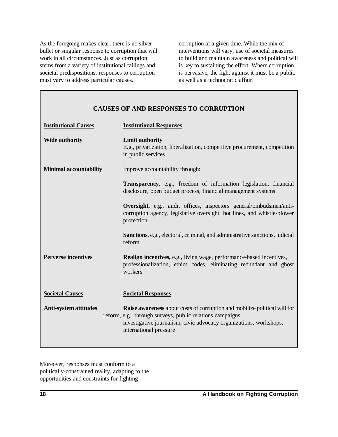As the foregoing makes clear, there is no silver bullet or singular response to corruption that will work in all circumstances. Just as corruption stems from a variety of institutional failings and societal predispositions, responses to corruption must vary to address particular causes.

corruption at a given time. While the mix of interventions will vary, use of societal measures to build and maintain awareness and political will is key to sustaining the effort. Where corruption is pervasive, the fight against it must be a public as well as a technocratic affair.

| <b>CAUSES OF AND RESPONSES TO CORRUPTION</b> |                                                                                                                                                                                                                                                |  |  |
|----------------------------------------------|------------------------------------------------------------------------------------------------------------------------------------------------------------------------------------------------------------------------------------------------|--|--|
| <b>Institutional Causes</b>                  | <b>Institutional Responses</b>                                                                                                                                                                                                                 |  |  |
| <b>Wide authority</b>                        | <b>Limit authority</b><br>E.g., privatization, liberalization, competitive procurement, competition<br>in public services                                                                                                                      |  |  |
| <b>Minimal accountability</b>                | Improve accountability through:                                                                                                                                                                                                                |  |  |
|                                              | <b>Transparency</b> , e.g., freedom of information legislation, financial<br>disclosure, open budget process, financial management systems                                                                                                     |  |  |
|                                              | <b>Oversight</b> , e.g., audit offices, inspectors general/ombudsmen/anti-<br>corruption agency, legislative oversight, hot lines, and whistle-blower<br>protection                                                                            |  |  |
|                                              | <b>Sanctions</b> , e.g., electoral, criminal, and administrative sanctions, judicial<br>reform                                                                                                                                                 |  |  |
| <b>Perverse incentives</b>                   | <b>Realign incentives, e.g., living wage, performance-based incentives,</b><br>professionalization, ethics codes, eliminating redundant and ghost<br>workers                                                                                   |  |  |
| <b>Societal Causes</b>                       | <b>Societal Responses</b>                                                                                                                                                                                                                      |  |  |
| <b>Anti-system attitudes</b>                 | <b>Raise awareness</b> about costs of corruption and mobilize political will for<br>reform, e.g., through surveys, public relations campaigns,<br>investigative journalism, civic advocacy organizations, workshops,<br>international pressure |  |  |

Moreover, responses must conform to a politically-constrained reality, adapting to the opportunities and constraints for fighting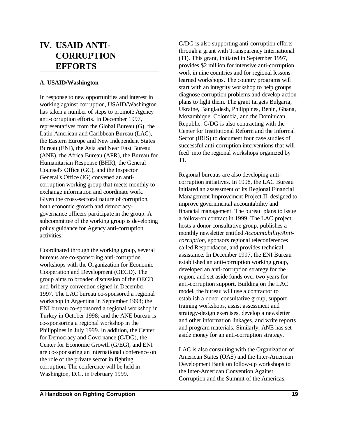### **IV. USAID ANTI-CORRUPTION EFFORTS**

#### **A. USAID/Washington**

In response to new opportunities and interest in working against corruption, USAID/Washington has taken a number of steps to promote Agency anti-corruption efforts. In December 1997, representatives from the Global Bureau (G), the Latin American and Caribbean Bureau (LAC), the Eastern Europe and New Independent States Bureau (ENI), the Asia and Near East Bureau (ANE), the Africa Bureau (AFR), the Bureau for Humanitarian Response (BHR), the General Counsel's Office (GC), and the Inspector General's Office (IG) convened an anticorruption working group that meets monthly to exchange information and coordinate work. Given the cross-sectoral nature of corruption, both economic growth and democracygovernance officers participate in the group. A subcommittee of the working group is developing policy guidance for Agency anti-corruption activities.

Coordinated through the working group, several bureaus are co-sponsoring anti-corruption workshops with the Organization for Economic Cooperation and Development (OECD). The group aims to broaden discussion of the OECD anti-bribery convention signed in December 1997. The LAC bureau co-sponsored a regional workshop in Argentina in September 1998; the ENI bureau co-sponsored a regional workshop in Turkey in October 1998; and the ANE bureau is co-sponsoring a regional workshop in the Philippines in July 1999. In addition, the Center for Democracy and Governance (G/DG), the Center for Economic Growth (G/EG), and ENI are co-sponsoring an international conference on the role of the private sector in fighting corruption. The conference will be held in Washington, D.C. in February 1999.

G/DG is also supporting anti-corruption efforts through a grant with Transparency International (TI). This grant, initiated in September 1997, provides \$2 million for intensive anti-corruption work in nine countries and for regional lessonslearned workshops. The country programs will start with an integrity workshop to help groups diagnose corruption problems and develop action plans to fight them. The grant targets Bulgaria, Ukraine, Bangladesh, Philippines, Benin, Ghana, Mozambique, Colombia, and the Dominican Republic. G/DG is also contracting with the Center for Institutional Reform and the Informal Sector (IRIS) to document four case studies of successful anti-corruption interventions that will feed into the regional workshops organized by TI.

Regional bureaus are also developing anticorruption initiatives. In 1998, the LAC Bureau initiated an assessment of its Regional Financial Management Improvement Project II, designed to improve governmental accountability and financial management. The bureau plans to issue a follow-on contract in 1999. The LAC project hosts a donor consultative group, publishes a monthly newsletter entitled *Accountability/Anticorruption*, sponsors regional teleconferences called Respondacon, and provides technical assistance. In December 1997, the ENI Bureau established an anti-corruption working group, developed an anti-corruption strategy for the region, and set aside funds over two years for anti-corruption support. Building on the LAC model, the bureau will use a contractor to establish a donor consultative group, support training workshops, assist assessment and strategy-design exercises, develop a newsletter and other information linkages, and write reports and program materials. Similarly, ANE has set aside money for an anti-corruption strategy.

LAC is also consulting with the Organization of American States (OAS) and the Inter-American Development Bank on follow-up workshops to the Inter-American Convention Against Corruption and the Summit of the Americas.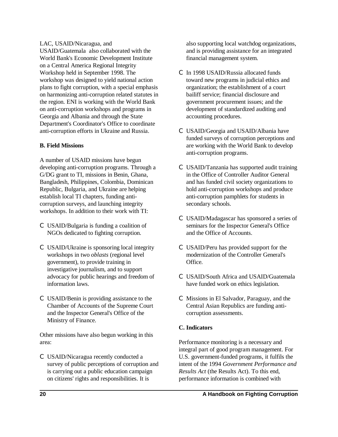#### LAC, USAID/Nicaragua, and

USAID/Guatemala also collaborated with the World Bank's Economic Development Institute on a Central America Regional Integrity Workshop held in September 1998. The workshop was designed to yield national action plans to fight corruption, with a special emphasis on harmonizing anti-corruption related statutes in the region. ENI is working with the World Bank on anti-corruption workshops and programs in Georgia and Albania and through the State Department's Coordinator's Office to coordinate anti-corruption efforts in Ukraine and Russia.

#### **B. Field Missions**

A number of USAID missions have begun developing anti-corruption programs. Through a G/DG grant to TI, missions in Benin, Ghana, Bangladesh, Philippines, Colombia, Dominican Republic, Bulgaria, and Ukraine are helping establish local TI chapters, funding anticorruption surveys, and launching integrity workshops. In addition to their work with TI:

- C USAID/Bulgaria is funding a coalition of NGOs dedicated to fighting corruption.
- C USAID/Ukraine is sponsoring local integrity workshops in two *oblasts* (regional level government), to provide training in investigative journalism, and to support advocacy for public hearings and freedom of information laws.
- C USAID/Benin is providing assistance to the Chamber of Accounts of the Supreme Court and the Inspector General's Office of the Ministry of Finance.

Other missions have also begun working in this area:

C USAID/Nicaragua recently conducted a survey of public perceptions of corruption and is carrying out a public education campaign on citizens' rights and responsibilities. It is

also supporting local watchdog organizations, and is providing assistance for an integrated financial management system.

- C In 1998 USAID/Russia allocated funds toward new programs in judicial ethics and organization; the establishment of a court bailiff service; financial disclosure and government procurement issues; and the development of standardized auditing and accounting procedures.
- C USAID/Georgia and USAID/Albania have funded surveys of corruption perceptions and are working with the World Bank to develop anti-corruption programs.
- C USAID/Tanzania has supported audit training in the Office of Controller Auditor General and has funded civil society organizations to hold anti-corruption workshops and produce anti-corruption pamphlets for students in secondary schools.
- C USAID/Madagascar has sponsored a series of seminars for the Inspector General's Office and the Office of Accounts.
- C USAID/Peru has provided support for the modernization of the Controller General's Office.
- C USAID/South Africa and USAID/Guatemala have funded work on ethics legislation.
- C Missions in El Salvador, Paraguay, and the Central Asian Republics are funding anticorruption assessments.

#### **C. Indicators**

Performance monitoring is a necessary and integral part of good program management. For U.S. government-funded programs, it fulfils the intent of the 1994 *Government Performance and Results Act* (the Results Act). To this end, performance information is combined with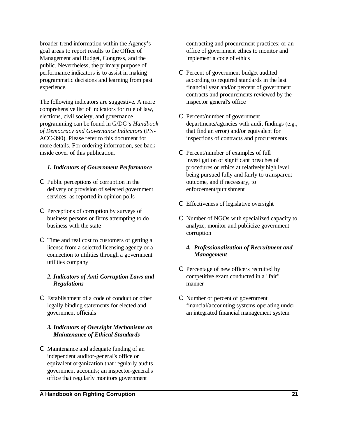broader trend information within the Agency's goal areas to report results to the Office of Management and Budget, Congress, and the public. Nevertheless, the primary purpose of performance indicators is to assist in making programmatic decisions and learning from past experience.

The following indicators are suggestive. A more comprehensive list of indicators for rule of law, elections, civil society, and governance programming can be found in G/DG's *Handbook of Democracy and Governance Indicators* (PN-ACC-390). Please refer to this document for more details. For ordering information, see back inside cover of this publication.

#### *1. Indicators of Government Performance*

- C Public perceptions of corruption in the delivery or provision of selected government services, as reported in opinion polls
- C Perceptions of corruption by surveys of business persons or firms attempting to do business with the state
- C Time and real cost to customers of getting a license from a selected licensing agency or a connection to utilities through a government utilities company

#### *2. Indicators of Anti-Corruption Laws and Regulations*

C Establishment of a code of conduct or other legally binding statements for elected and government officials

#### *3. Indicators of Oversight Mechanisms on Maintenance of Ethical Standards*

C Maintenance and adequate funding of an independent auditor-general's office or equivalent organization that regularly audits government accounts; an inspector-general's office that regularly monitors government

contracting and procurement practices; or an office of government ethics to monitor and implement a code of ethics

- C Percent of government budget audited according to required standards in the last financial year and/or percent of government contracts and procurements reviewed by the inspector general's office
- C Percent/number of government departments/agencies with audit findings (e.g., that find an error) and/or equivalent for inspections of contracts and procurements
- C Percent/number of examples of full investigation of significant breaches of procedures or ethics at relatively high level being pursued fully and fairly to transparent outcome, and if necessary, to enforcement/punishment
- C Effectiveness of legislative oversight
- C Number of NGOs with specialized capacity to analyze, monitor and publicize government corruption

#### *4. Professionalization of Recruitment and Management*

- C Percentage of new officers recruited by competitive exam conducted in a "fair" manner
- C Number or percent of government financial/accounting systems operating under an integrated financial management system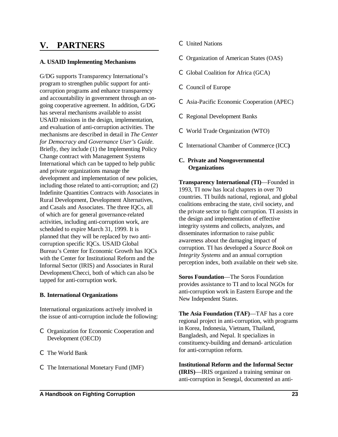### **V. PARTNERS**

#### **A. USAID Implementing Mechanisms**

G/DG supports Transparency International's program to strengthen public support for anticorruption programs and enhance transparency and accountability in government through an ongoing cooperative agreement. In addition, G/DG has several mechanisms available to assist USAID missions in the design, implementation, and evaluation of anti-corruption activities. The mechanisms are described in detail in *The Center for Democracy and Governance User's Guide*. Briefly, they include (1) the Implementing Policy Change contract with Management Systems International which can be tapped to help public and private organizations manage the development and implementation of new policies, including those related to anti-corruption; and (2) Indefinite Quantities Contracts with Associates in Rural Development, Development Alternatives, and Casals and Associates. The three IQCs, all of which are for general governance-related activities, including anti-corruption work, are scheduled to expire March 31, 1999. It is planned that they will be replaced by two anticorruption specific IQCs. USAID Global Bureau's Center for Economic Growth has IQCs with the Center for Institutional Reform and the Informal Sector (IRIS) and Associates in Rural Development/Checci, both of which can also be tapped for anti-corruption work.

#### **B. International Organizations**

International organizations actively involved in the issue of anti-corruption include the following:

- C Organization for Economic Cooperation and Development (OECD)
- C The World Bank
- C The International Monetary Fund (IMF)
- C United Nations
- C Organization of American States (OAS)
- C Global Coalition for Africa (GCA)
- C Council of Europe
- C Asia-Pacific Economic Cooperation (APEC)
- C Regional Development Banks
- C World Trade Organization (WTO)
- C International Chamber of Commerce (ICC**)**

#### **C. Private and Nongovernmental Organizations**

**Transparency International (TI)**— Founded in 1993, TI now has local chapters in over 70 countries. TI builds national, regional, and global coalitions embracing the state, civil society, and the private sector to fight corruption. TI assists in the design and implementation of effective integrity systems and collects, analyzes, and disseminates information to raise public awareness about the damaging impact of corruption. TI has developed a *Source Book on Integrity Systems* and an annual corruption perception index, both available on their web site.

**Soros Foundation**— The Soros Foundation provides assistance to TI and to local NGOs for anti-corruption work in Eastern Europe and the New Independent States.

**The Asia Foundation (TAF)—TAF has a core** regional project in anti-corruption, with programs in Korea, Indonesia, Vietnam, Thailand, Bangladesh, and Nepal. It specializes in constituency-building and demand- articulation for anti-corruption reform.

### **Institutional Reform and the Informal Sector**

**(IRIS)**— IRIS organized a training seminar on anti-corruption in Senegal, documented an anti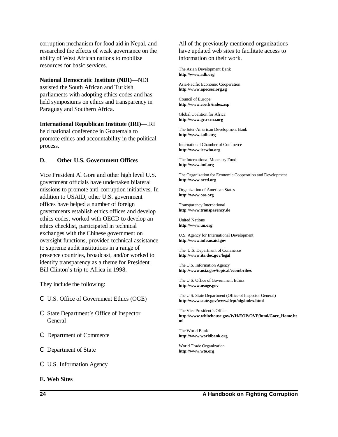corruption mechanism for food aid in Nepal, and researched the effects of weak governance on the ability of West African nations to mobilize resources for basic services.

#### **National Democratic Institute (NDI)**— NDI

assisted the South African and Turkish parliaments with adopting ethics codes and has held symposiums on ethics and transparency in Paraguay and Southern Africa.

#### **International Republican Institute (IRI)**— IRI

held national conference in Guatemala to promote ethics and accountability in the political process.

#### **D. Other U.S. Government Offices**

Vice President Al Gore and other high level U.S. government officials have undertaken bilateral missions to promote anti-corruption initiatives. In addition to USAID, other U.S. government offices have helped a number of foreign governments establish ethics offices and develop ethics codes, worked with OECD to develop an ethics checklist, participated in technical exchanges with the Chinese government on oversight functions, provided technical assistance to supreme audit institutions in a range of presence countries, broadcast, and/or worked to identify transparency as a theme for President Bill Clinton's trip to Africa in 1998.

They include the following:

- C U.S. Office of Government Ethics (OGE)
- C State Department's Office of Inspector General
- C Department of Commerce
- C Department of State

C U.S. Information Agency

**E. Web Sites**

All of the previously mentioned organizations have updated web sites to facilitate access to information on their work.

The Asian Development Bank **http://www.adb.org**

Asia-Pacific Economic Cooperation **http://www.apecsec.org.sg**

Council of Europe **http://www.coe.fr/index.asp**

Global Coalition for Africa **http://www.gca-cma.org**

The Inter-American Development Bank **http://www.iadb.org**

International Chamber of Commerce **http://www.iccwbo.org**

The International Monetary Fund **http://www.imf.org**

The Organization for Economic Cooperation and Development **http://www.oecd.org**

Organization of American States **http://www.oas.org**

Transparency International **http://www.transparency.de** 

United Nations **http://www.un.org**

U.S. Agency for International Development **http://www.info.usaid.gov**

The U.S. Department of Commerce **http://www.ita.doc.gov/legal** 

The U.S. Information Agency **http://www.usia.gov/topical/econ/bribes**

The U.S. Office of Government Ethics **http://www.usoge.gov**

The U.S. State Department (Office of Inspector General) **http://www.state.gov/www/dept/oig/index.html**

The Vice President's Office **http://www.whitehouse.gov/WH/EOP/OVP/html/Gore\_Home.ht ml**

The World Bank **http://www.worldbank.org**

World Trade Organization **http://www.wto.org**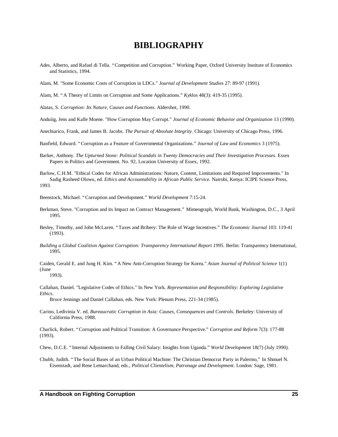### **BIBLIOGRAPHY**

- Ades, Alberto, and Rafael di Tella. "Competition and Corruption." Working Paper, Oxford University Institute of Economics and Statistics, 1994.
- Alam, M. "Some Economic Costs of Corruption in LDCs." *Journal of Development Studies* 27: 89-97 (1991).

Alam, M. "A Theory of Limits on Corruption and Some Applications." *Kyklos* 48(3): 419-35 (1995).

Alatas, S. *Corruption: Its Nature, Causes and Functions*. Aldershot, 1990.

Anduiig, Jens and Kalle Moene. "How Corruption May Corrupt." *Journal of Economic Behavior and Organization* 13 (1990).

Anechiarico, Frank, and James B. Jacobs. *The Pursuit of Absolute Integrity.* Chicago: University of Chicago Press, 1996.

Banfield, Edward. "Corruption as a Feature of Governmental Organizations." *Journal of Law and Economics* 3 (1975).

Barker, Anthony. *The Upturned Stone: Political Scandals in Twenty Democracies and Their Investigation Processes*. Essex Papers in Politics and Government. No. 92, Location University of Essex, 1992.

Barlow, C.H.M. "Ethical Codes for African Administrations: Nature, Content, Limitations and Required Improvements." In Sadig Rasheed Olowu, ed. *Ethics and Accountability in African Public Service.* Nairobi, Kenya: ICIPE Science Press, 1993.

Beenstock, Michael. "Corruption and Development." *World Development* 7:15-24.

- Berkman, Steve. "Corruption and its Impact on Contract Management." Mimeograph, World Bank, Washington, D.C., 3 April 1995.
- Besley, Timothy, and John McLaren. "Taxes and Bribery: The Role of Wage Incentives." *The Economic Journal* 103: 119-41 (1993).
- *Building a Global Coalition Against Corruption: Transparency International Report 1995*. Berlin: Transparency International, 1995.

Caiden, Gerald E. and Jung H. Kim. "A New Anti-Corruption Strategy for Korea." *Asian Journal of Political Science* 1(1) (June 1993).

Callahan, Daniel. "Legislative Codes of Ethics." In New York. *Representation and Responsibility: Exploring Legislative Ethics*.

Bruce Jennings and Daniel Callahan, eds. New York: Plenum Press, 221-34 (1985).

Carino, Ledivinia V. ed. *Bureaucratic Corruption in Asia: Causes, Consequences and Controls*. Berkeley: University of California Press, 1988.

Charlick, Robert. "Corruption and Political Transition: A Governance Perspective." *Corruption and Reform* 7(3): 177-88 (1993).

Chew, D.C.E. "Internal Adjustments to Falling Civil Salary: Insights from Uganda." *World Development* 18(7) (July 1990).

Chubb, Judith. "The Social Bases of an Urban Political Machine: The Christian Democrat Party in Palermo," In Shmuel N. Eisenstadt, and Rene Lemarchand, eds., *Political Clientelism, Patronage and Development*. London: Sage, 1981.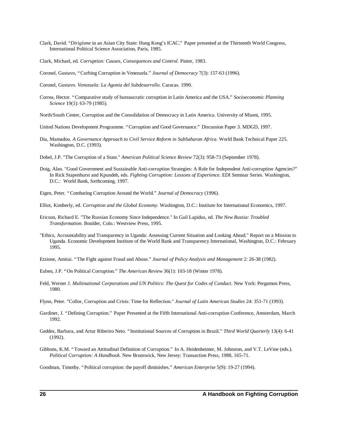- Clark, David. "*Dirigisme* in an Asian City State: Hong Kong's ICAC." Paper presented at the Thirteenth World Congress, International Political Science Association, Paris, 1985.
- Clark, Michael, ed. *Corruption: Causes, Consequences and Control*. Pinter, 1983.

Coronel, Gustavo, "Curbing Corruption in Venezuela." *Journal of Democracy* 7(3): 157-63 (1996).

Coronel, Gustavo. *Venezuela: La Agonia del Subdesarrollo*. Caracas. 1990.

Correa, Hector. "Comparative study of bureaucratic corruption in Latin America and the USA." *Socioeconomic Planning Science* 19(1): 63-79 (1985).

North/South Center, Corruption and the Consolidation of Democracy in Latin America. University of Miami, 1995.

- United Nations Development Programme. "Corruption and Good Governance." Discussion Paper 3. MDGD, 1997.
- Dia, Mamadou. *A Governance Approach to Civil Service Reform in SubSaharan Africa*. World Bank Technical Paper 225. Washington, D.C. (1993).
- Dobel, J.P. "The Corruption of a State." *American Political Science Review* 72(3): 958-73 (September 1978).
- Doig, Alan. "Good Government and Sustainable Anti-corruption Strategies: A Role for Independent Anti-corruption Agencies?" In Rick Stapenhurst and Kpundeh, eds. *Fighting Corruption: Lessons of Experience*. EDI Seminar Series. Washington, D.C.: World Bank, forthcoming, 1997.
- Eigen, Peter. "Combating Corruption Around the World." *Journal of Democracy* (1996).
- Elliot, Kimberly, ed. *Corruption and the Global Economy*. Washington, D.C.: Institute for International Economics, 1997.
- Ericson, Richard E. "The Russian Economy Since Independence." In Gail Lapidus, ed. *The New Russia: Troubled Transformation.* Boulder, Colo.: Westview Press, 1995.
- "Ethics, Accountability and Transparency in Uganda: Assessing Current Situation and Looking Ahead." Report on a Mission to Uganda. Economic Development Institute of the World Bank and Transparency International, Washington, D.C.: February 1995.
- Etzione, Amitai. "The Fight against Fraud and Abuse." *Journal of Policy Analysis and Management* 2: 26-38 (1982).
- Euben, J.P. "On Political Corruption." *The American Review* 36(1): 103-18 (Winter 1978).
- Feld, Werner J. *Multinational Corporations and UN Politics: The Quest for Codes of Conduct*. New York: Pergamon Press, 1980.
- Flynn, Peter. "Collor, Corruption and Crisis: Time for Reflection." *Journal of Latin American Studies* 24: 351-71 (1993).
- Gardiner, J. "Defining Corruption." Paper Presented at the Fifth International Anti-corruption Conference, Amsterdam, March 1992.
- Geddes, Barbara, and Artur Riberiro Neto. "Institutional Sources of Corruption in Brazil." *Third World Quarterly* 13(4): 6-41 (1992).
- Gibbons, K.M. "Toward an Attitudinal Definition of Corruption." In A. Heidenheimer, M. Johnston, and V.T. LeVine (eds.). *Political Corruption: A Handbook*. New Brunswick, New Jersey: Transaction Press, 1988, 165-71.

Goodman, Timothy. "Political corruption: the payoff diminishes." *American Enterprise* 5(9): 19-27 (1994).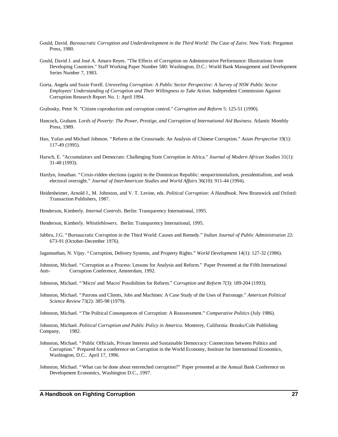- Gould, David. *Bureaucratic Corruption and Underdevelopment in the Third World: The Case of Zaire*. New York: Pergamon Press, 1980.
- Gould, David J. and José A. Amaro Reyes. "The Effects of Corruption on Administrative Performance: Illustrations from Developing Countries." Staff Working Paper Number 580: Washington, D.C.: World Bank Management and Development Series Number 7, 1983.
- Gorta, Angela and Suzie Forell. *Unraveling Corruption: A Public Sector Perspective: A Survey of NSW Public Sector Employees' Understanding of Corruption and Their Willingness to Take Action.* Independent Commission Against Corruption Research Report No. 1: April 1994.
- Grabosky, Peter N. "Citizen coproduction and corruption control." *Corruption and Reform* 5: 125-51 (1990).
- Hancock, Graham. *Lords of Poverty: The Power, Prestige, and Corruption of International Aid Business*. Atlantic Monthly Press, 1989.
- Hao, Yufan and Michael Johnson. "Reform at the Crossroads: An Analysis of Chinese Corruption." *Asian Perspective* 19(1): 117-49 (1995).
- Harsch, E. "Accumulators and Democrats: Challenging State Corruption in Africa." *Journal of Modern African Studies* 31(1): 31-48 (1993).
- Hartlyn, Jonathan. "Crisis-ridden elections (again) in the Dominican Republic: neopatrimonialism, presidentialism, and weak electoral oversight." *Journal of InterAmerican Studies and World Affairs* 36(10): 911-44 (1994).
- Heidenheimer, Arnold J., M. Johnston, and V. T. Levine, eds. *Political Corruption: A Handbook*. New Brunswick and Oxford: Transaction Publishers, 1987.
- Henderson, Kimberly. *Internal Controls*. Berlin: Transparency International, 1995.
- Henderson, Kimberly. *Whistleblowers*. Berlin: Transparency International, 1995.
- Jabbra, J.G. "Bureaucratic Corruption in the Third World: Causes and Remedy." *Indian Journal of Public Administration* 22: 673-91 (October-December 1976).
- Jagannathan, N. Vijay. "Corruption, Delivery Systems, and Property Rights." *World Development* 14(1): 127-32 (1986).

Johnston, Michael. "Corruption as a Process: Lessons for Analysis and Reform." Paper Presented at the Fifth International Anti- Corruption Conference, Amsterdam, 1992.

Johnston, Michael. "'Micro' and 'Macro' Possibilities for Reform." *Corruption and Reform* 7(3): 189-204 (1993).

Johnston, Michael. "Patrons and Clients, Jobs and Machines: A Case Study of the Uses of Patronage." *American Political Science Review* 73(2): 385-98 (1979).

Johnston, Michael. "The Political Consequences of Corruption: A Reassessment." *Comparative Politics* (July 1986).

Johnston, Michael. *Political Corruption and Public Policy in America*. Monterey, California: Brooks/Cole Publishing Company, 1982.

- Johnston, Michael. "Public Officials, Private Interests and Sustainable Democracy: Connections between Politics and Corruption." Prepared for a conference on Corruption in the World Economy, Institute for International Economics, Washington, D.C.. April 17, 1996.
- Johnston, Michael. "What can be done about entrenched corruption?" Paper presented at the Annual Bank Conference on Development Economics, Washington D.C., 1997.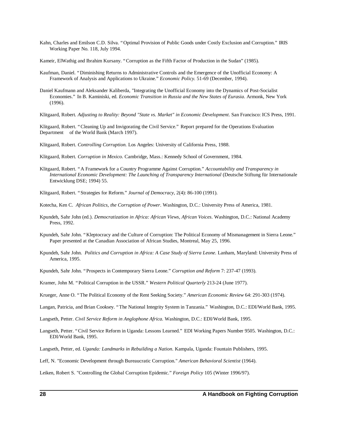Kahn, Charles and Emilson C.D. Silva. "Optimal Provision of Public Goods under Costly Exclusion and Corruption." IRIS Working Paper No. 118, July 1994.

Kameir, ElWathig and Ibrahim Kursany. "Corruption as the Fifth Factor of Production in the Sudan" (1985).

- Kaufman, Daniel. "Diminishing Returns to Administrative Controls and the Emergence of the Unofficial Economy: A Framework of Analysis and Applications to Ukraine." *Economic Policy.* 51-69 (December, 1994).
- Daniel Kaufmann and Aleksander Kaliberda, "Integrating the Unofficial Economy into the Dynamics of Post-Socialist Economies." In B. Kaminiski, ed. *Economic Transition in Russia and the New States of Eurasia*. Armonk, New York (1996).
- Klitgaard, Robert*. Adjusting to Reality: Beyond "State vs. Market" in Economic Development*. San Francisco: ICS Press, 1991.

Klitgaard, Robert. "Cleaning Up and Invigorating the Civil Service." Report prepared for the Operations Evaluation Department of the World Bank (March 1997).

Klitgaard, Robert. *Controlling Corruption.* Los Angeles: University of California Press, 1988.

Klitgaard, Robert*. Corruption in Mexico.* Cambridge, Mass.: Kennedy School of Government, 1984.

Klitgaard, Robert. "A Framework for a Country Programme Against Corruption." *Accountability and Transparency in International Economic Development: The Launching of Transparency International* (Deutsche Stiftung für Internationale Entwicklung DSE; 1994) 55.

Klitgaard, Robert. "Strategies for Reform." *Journal of Democracy*, 2(4): 86-100 (1991).

- Kotecha, Ken C. *African Politics, the Corruption of Power*. Washington, D.C.: University Press of America, 1981.
- Kpundeh, Sahr John (ed.). *Democratization in Africa: African Views, African Voices*. Washington, D.C.: National Academy Press, 1992.
- Kpundeh, Sahr John. "Kleptocracy and the Culture of Corruption: The Political Economy of Mismanagement in Sierra Leone." Paper presented at the Canadian Association of African Studies, Montreal, May 25, 1996.
- Kpundeh, Sahr John*. Politics and Corruption in Africa: A Case Study of Sierra Leone*. Lanham, Maryland: University Press of America, 1995.
- Kpundeh, Sahr John. "Prospects in Contemporary Sierra Leone." *Corruption and Reform* 7: 237-47 (1993).

Kramer, John M. "Political Corruption in the USSR." *Western Political Quarterly* 213-24 (June 1977).

Krueger, Anne O. "The Political Economy of the Rent Seeking Society." *American Economic Review* 64: 291-303 (1974).

Langan, Patricia, and Brian Cooksey. "The National Integrity System in Tanzania." Washington, D.C.: EDI/World Bank, 1995.

Langseth, Petter. *Civil Service Reform in Anglophone Africa.* Washington, D.C.: EDI/World Bank, 1995.

- Langseth, Petter. "Civil Service Reform in Uganda: Lessons Learned." EDI Working Papers Number 9505. Washington, D.C.: EDI/World Bank, 1995.
- Langseth, Petter, ed. *Uganda: Landmarks in Rebuilding a Nation*. Kampala, Uganda: Fountain Publishers, 1995.

Leff, N. "Economic Development through Bureaucratic Corruption." *American Behavioral Scientist* (1964).

Leiken, Robert S. "Controlling the Global Corruption Epidemic." *Foreign Policy* 105 (Winter 1996/97).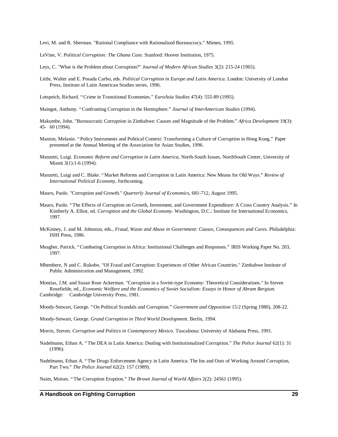Levi, M. and R. Sherman. "Rational Compliance with Rationalized Bureaucracy." Mimeo, 1995.

LeVine, V. *Political Corruption: The Ghana Case*. Stanford: Hoover Institution, 1975.

Leys, C. "What is the Problem about Corruption?" *Journal of Modern African Studies* 3(2): 215-24 (1965).

Little, Walter and E. Posada Carbo, eds. *Political Corruption in Europe and Latin America*. London: University of London Press, Institute of Latin American Studies series, 1996.

Lotspeich, Richard. "Crime in Transitional Economies." *EuroAsia Studies* 47(4): 555-89 (1995).

Maingot, Anthony. "Confronting Corruption in the Hemisphere." *Journal of InterAmerican Studies* (1994).

Makumbe, John. "Bureaucratic Corruption in Zimbabwe: Causes and Magnitude of the Problem." *Africa Development* 19(3): 45- 60 (1994).

- Manion, Melanie. "Policy Instruments and Political Context: Transforming a Culture of Corruption in Hong Kong." Paper presented at the Annual Meeting of the Association for Asian Studies, 1996.
- Manzetti, Luigi. *Economic Reform and Corruption in Latin America*, North-South Issues, NorthSouth Center, University of Miami 3(1):1-6 (1994).
- Manzetti, Luigi and C. Blake. "Market Reforms and Corruption in Latin America: New Means for Old Ways." *Review of International Political Economy*, forthcoming.
- Mauro, Paolo. "Corruption and Growth." *Quarterly Journal of Economics*, 681-712, August 1995.
- Mauro, Paolo. "The Effects of Corruption on Growth, Investment, and Government Expenditure: A Cross Country Analysis." In Kimberly A. Elliot, ed. *Corruption and the Global Economy*. Washington, D.C.: Institute for International Economics, 1997.
- McKinney, J. and M. Johnston, eds., *Fraud, Waste and Abuse in Government: Causes, Consequences and Cures.* Philadelphia: ISHI Press, 1986.
- Meagher, Patrick. "Combating Corruption in Africa: Institutional Challenges and Responses." IRIS Working Paper No. 203, 1997.
- Mhembere, N and C. Rukobo. "Of Fraud and Corruption: Experiences of Other African Countries." Zimbabwe Institute of Public Administration and Management, 1992.
- Montias, J.M. and Susan Rose Ackerman. "Corruption in a Soviet-type Economy: Theoretical Considerations." In Steven Rosefielde, ed., *Economic Welfare and the Economics of Soviet Socialism: Essays in Honor of Abram Bergson.* Cambridge: Cambridge University Press, 1981.

Moody-Stewart, George. "On Political Scandals and Corruption." *Government and Opposition* 15:2 (Spring 1980), 208-22.

Moody-Stewart, George. *Grand Corruption in Third World Development*. Berlin, 1994.

Morris, Steven. *Corruption and Politics in Contemporary Mexico*. Tuscaloosa: University of Alabama Press, 1991.

- Nadelmann, Ethan A. "The DEA in Latin America: Dealing with Institutionalized Corruption." *The Police Journal* 62(1): 31 (1996).
- Nadelmann, Ethan A. "The Drugs Enforcement Agency in Latin America: The Ins and Outs of Working Around Corruption, Part Two." *The Police Journal* 62(2): 157 (1989).

Naim, Moises. "The Corruption Eruption." *The Brown Journal of World Affairs* 2(2): 24561 (1995).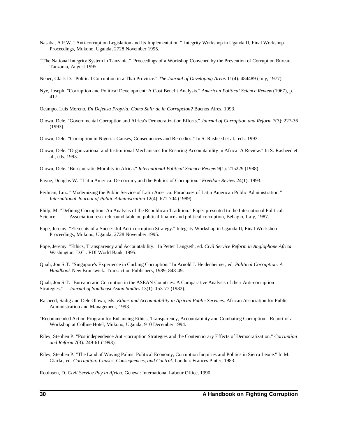- Nasaba, A.P.W. "Anti-corruption Legislation and Its Implementation." Integrity Workshop in Uganda II, Final Workshop Proceedings, Mukono, Uganda, 2728 November 1995.
- "The National Integrity System in Tanzania." Proceedings of a Workshop Convened by the Prevention of Corruption Bureau, Tanzania, August 1995.
- Neher, Clark D. "Political Corruption in a Thai Province." *The Journal of Developing Areas* 11(4): 484489 (July, 1977).
- Nye, Joseph. "Corruption and Political Development: A Cost Benefit Analysis." *American Political Science Review* (1967), p. 417.

Ocampo, Luis Moreno. *En Defensa Propria: Como Salir de la Corrupcion?* Buenos Aires, 1993.

- Olowu, Dele. "Governmental Corruption and Africa's Democratization Efforts." *Journal of Corruption and Reform* 7(3): 227-36 (1993).
- Olowu, Dele. "Corruption in Nigeria: Causes, Consequences and Remedies." In S. Rasheed et al., eds. 1993.
- Olowu, Dele. "Organizational and Institutional Mechanisms for Ensuring Accountability in Africa: A Review." In S. Rasheed et al., eds. 1993.
- Olowu, Dele. "Bureaucratic Morality in Africa." *International Political Science Review* 9(1): 215229 (1988).

Payne, Douglas W. "Latin America: Democracy and the Politics of Corruption." *Freedom Review* 24(1), 1993.

Perlman, Luz. "Modernizing the Public Service of Latin America: Paradoxes of Latin American Public Administration." *International Journal of Public Administration* 12(4): 671-704 (1989).

Philp, M. "Defining Corruption: An Analysis of the Republican Tradition." Paper presented to the International Political Science Association research round table on political finance and political corruption, Bellagio, Italy, 1987.

- Pope, Jeremy. "Elements of a Successful Anti-corruption Strategy." Integrity Workshop in Uganda II, Final Workshop Proceedings, Mukono, Uganda, 2728 November 1995.
- Pope, Jeremy. "Ethics, Transparency and Accountability." In Petter Langseth, ed. *Civil Service Reform in Anglophone Africa*. Washington, D.C.: EDI World Bank, 1995.
- Quah, Jon S.T. "Singapore's Experience in Curbing Corruption." In Arnold J. Heidenheimer, ed. *Political Corruption: A Handbook* New Brunswick: Transaction Publishers, 1989, 848-49.

Quah, Jon S.T. "Bureaucratic Corruption in the ASEAN Countries: A Comparative Analysis of their Anti-corruption Strategies." *Journal of Southeast Asian Studies* 13(1): 153-77 (1982).

- Rasheed, Sadig and Dele Olowa, eds. *Ethics and Accountability in African Public Services*. African Association for Public Administration and Management, 1993.
- "Recommended Action Program for Enhancing Ethics, Transparency, Accountability and Combating Corruption." Report of a Workshop at Colline Hotel, Mukono, Uganda, 910 December 1994.
- Riley, Stephen P. "Postindependence Anti-corruption Strategies and the Contemporary Effects of Democratization." *Corruption and Reform* 7(3): 249-61 (1993).
- Riley, Stephen P. "The Land of Waving Palms: Political Economy, Corruption Inquiries and Politics in Sierra Leone." In M. Clarke, ed. *Corruption: Causes, Consequences, and Control.* London: Frances Pinter, 1983.

Robinson, D. *Civil Service Pay in Africa*. Geneva: International Labour Office, 1990.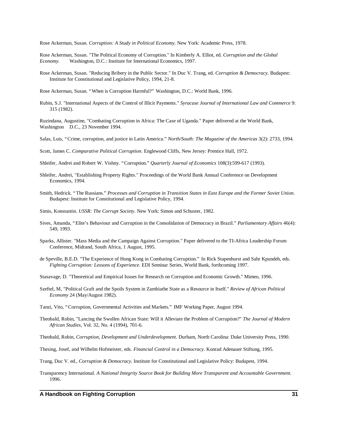Rose Ackerman, Susan. *Corruption: A Study in Political Economy.* New York: Academic Press, 1978.

Rose Ackerman, Susan. "The Political Economy of Corruption." In Kimberly A. Elliot, ed. *Corruption and the Global Economy.* Washington, D.C.: Institute for International Economics, 1997.

Rose Ackerman, Susan. "Reducing Bribery in the Public Sector." In Duc V. Trang, ed. *Corruption & Democracy.* Budapest: Institute for Constitutional and Legislative Policy, 1994, 21-8.

Rose Ackerman, Susan. "When is Corruption Harmful?" Washington, D.C.: World Bank, 1996.

Rubin, S.J. "International Aspects of the Control of Illicit Payments." *Syracuse Journal of International Law and Commerce* 9: 315 (1982).

Ruzindana, Augustine, "Combating Corruption in Africa: The Case of Uganda." Paper delivered at the World Bank, Washington D.C., 23 November 1994.

Salas, Luis, "Crime, corruption, and justice in Latin America." *North/South: The Magazine of the Americas* 3(2): 2733, 1994.

Scott, James C. *Comparative Political Corruption*. Englewood Cliffs, New Jersey: Prentice Hall, 1972.

Shleifer, Andrei and Robert W. Vishny. "Corruption." *Quarterly Journal of Economics* 108(3):599-617 (1993).

- Shleifer, Andrei, "Establishing Property Rights." Proceedings of the World Bank Annual Conference on Development Economics, 1994.
- Smith, Hedrick. "The Russians." *Processes and Corruption in Transition States in East Europe and the Former Soviet Union.* Budapest: Institute for Constitutional and Legislative Policy, 1994.

Simis, Konstantin. *USSR: The Corrupt Society*. New York: Simon and Schuster, 1982.

- Sives, Amanda, "Elite's Behaviour and Corruption in the Consolidation of Democracy in Brazil." *Parliamentary Affairs* 46(4): 549, 1993.
- Sparks, Allister. "Mass Media and the Campaign Against Corruption." Paper delivered to the TI-Africa Leadership Forum Conference, Midrand, South Africa, 1 August, 1995.
- de Speville, B.E.D. "The Experience of Hong Kong in Combating Corruption." In Rick Stapenhurst and Sahr Kpundeh, eds. *Fighting Corruption: Lessons of Experience*. EDI Seminar Series, World Bank, forthcoming 1997.
- Stasavage, D. "Theoretical and Empirical Issues for Research on Corruption and Economic Growth." Mimeo, 1996.
- Szeftel, M, "Political Graft and the Spoils System in Zambiathe State as a Resource in Itself." *Review of African Political Economy* 24 (May/August 1982).
- Tanzi, Vito, "Corruption, Governmental Activities and Markets." IMF Working Paper, August 1994.
- Theobald, Robin, "Lancing the Swollen African State: Will it Alleviate the Problem of Corruption?" *The Journal of Modern African Studies*, Vol. 32, No. 4 (1994), 701-6.

Theobald, Robin*, Corruption, Development and Underdevelopment*. Durham, North Carolina: Duke University Press, 1990.

Thesing, Josef, and Wilhelm Hofmeister, eds. *Financial Control in a Democracy*. Konrad Adenauer Stiftung, 1995.

Trang, Duc V. ed., *Corruption & Democracy.* Institute for Constitutional and Legislative Policy: Budapest, 1994.

Transparency International. *A National Integrity Source Book for Building More Transparent and Accountable Government*. 1996.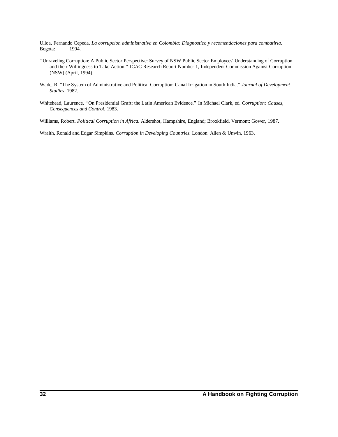Ulloa, Fernando Cepeda. *La corrupcion administrativa en Colombia: Diagnostico y recomendaciones para combatirla*. Bogota:

- "Unraveling Corruption: A Public Sector Perspective: Survey of NSW Public Sector Employees' Understanding of Corruption and their Willingness to Take Action." ICAC Research Report Number 1, Independent Commission Against Corruption (NSW) (April, 1994).
- Wade, R. "The System of Administrative and Political Corruption: Canal Irrigation in South India." *Journal of Development Studies*, 1982.
- Whitehead, Laurence, "On Presidential Graft: the Latin American Evidence." In Michael Clark, ed. *Corruption: Causes, Consequences and Control,* 1983.
- Williams, Robert. *Political Corruption in Africa*. Aldershot, Hampshire, England; Brookfield, Vermont: Gower, 1987.

Wraith, Ronald and Edgar Simpkins. *Corruption in Developing Countries.* London: Allen & Unwin, 1963.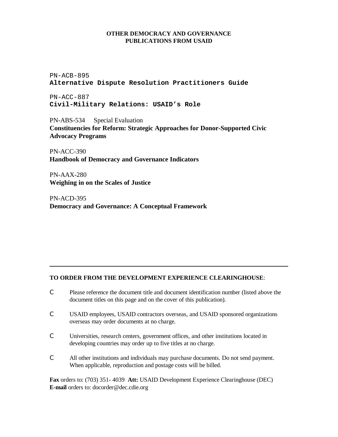#### **OTHER DEMOCRACY AND GOVERNANCE PUBLICATIONS FROM USAID**

PN-ACB-895 **Alternative Dispute Resolution Practitioners Guide**

PN-ACC-887 **Civil-Military Relations: USAID's Role**

PN-ABS-534 Special Evaluation **Constituencies for Reform: Strategic Approaches for Donor-Supported Civic Advocacy Programs**

PN-ACC-390 **Handbook of Democracy and Governance Indicators**

PN-AAX-280 **Weighing in on the Scales of Justice**

PN-ACD-395 **Democracy and Governance: A Conceptual Framework**

#### **TO ORDER FROM THE DEVELOPMENT EXPERIENCE CLEARINGHOUSE**:

- C Please reference the document title and document identification number (listed above the document titles on this page and on the cover of this publication).
- C USAID employees, USAID contractors overseas, and USAID sponsored organizations overseas may order documents at no charge.
- C Universities, research centers, government offices, and other institutions located in developing countries may order up to five titles at no charge.
- C All other institutions and individuals may purchase documents. Do not send payment. When applicable, reproduction and postage costs will be billed.

**Fax** orders to: (703) 351- 4039 **Att:** USAID Development Experience Clearinghouse (DEC) **E-mail** orders to: docorder@dec.cdie.org